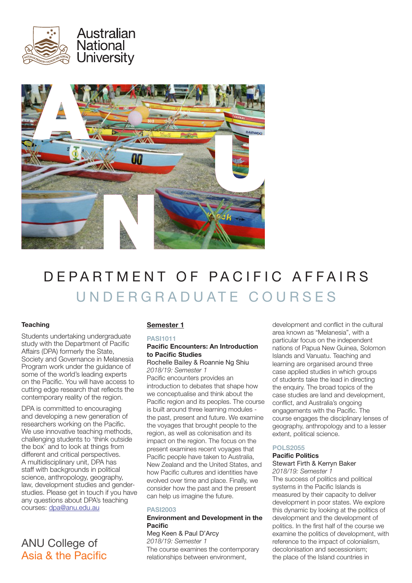



# DEPARTMENT OF PACIFIC AFFAIRS UNDERGRADUATE COURSES

# **Teaching**

Students undertaking undergraduate study with the Department of Pacific Affairs (DPA) formerly the State, Society and Governance in Melanesia Program work under the guidance of some of the world's leading experts on the Pacific. You will have access to cutting edge research that reflects the contemporary reality of the region.

DPA is committed to encouraging and developing a new generation of researchers working on the Pacific. We use innovative teaching methods, challenging students to 'think outside the box' and to look at things from different and critical perspectives. A multidisciplinary unit, DPA has staff with backgrounds in political science, anthropology, geography, law, development studies and genderstudies. Please get in touch if you have any questions about DPA's teaching courses: dpa@anu.edu.au

# ANU College of Asia & the Pacific

# Semester 1

## PASI1011 Pacific Encounters: An Introduction to Pacific Studies

## Rochelle Bailey & Roannie Ng Shiu *2018/19: Semester 1*

Pacific encounters provides an introduction to debates that shape how we conceptualise and think about the Pacific region and its peoples. The course is built around three learning modules the past, present and future. We examine the voyages that brought people to the region, as well as colonisation and its impact on the region. The focus on the present examines recent voyages that Pacific people have taken to Australia, New Zealand and the United States, and how Pacific cultures and identities have evolved over time and place. Finally, we consider how the past and the present can help us imagine the future.

# **PASI2003**

# Environment and Development in the **Pacific**

Meg Keen & Paul D'Arcy *2018/19: Semester 1* The course examines the contemporary relationships between environment,

development and conflict in the cultural area known as "Melanesia", with a particular focus on the independent nations of Papua New Guinea, Solomon Islands and Vanuatu. Teaching and learning are organised around three case applied studies in which groups of students take the lead in directing the enquiry. The broad topics of the case studies are land and development, conflict, and Australia's ongoing engagements with the Pacific. The course engages the disciplinary lenses of geography, anthropology and to a lesser extent, political science.

# POLS2055

# Pacific Politics

#### Stewart Firth & Kerryn Baker *2018/19: Semester 1*

The success of politics and political systems in the Pacific Islands is measured by their capacity to deliver development in poor states. We explore this dynamic by looking at the politics of development and the development of politics. In the first half of the course we examine the politics of development, with reference to the impact of colonialism, decolonisation and secessionism; the place of the Island countries in